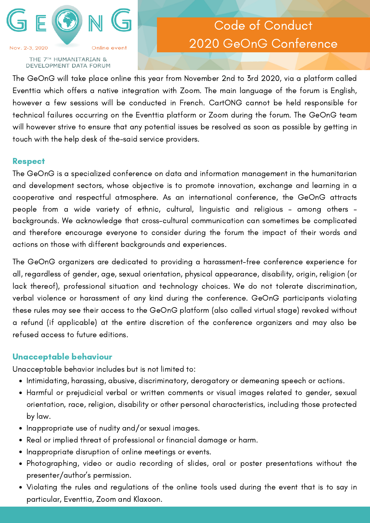

#### THE 7TH HUMANITARIAN & DEVELOPMENT DATA FORUM

# Code of Conduct 2020 GeOnG Conference

The GeOnG will take place online this year from November 2nd to 3rd 2020, via a platform called Eventtia which offers a native integration with Zoom. The main language of the forum is English, however a few sessions will be conducted in French. CartONG cannot be held responsible for technical failures occurring on the Eventtia platform or Zoom during the forum. The GeOnG team will however strive to ensure that any potential issues be resolved as soon as possible by getting in touch with the help desk of the-said service providers.

### **Respect**

The GeOnG is a specialized conference on data and information management in the humanitarian and development sectors, whose objective is to promote innovation, exchange and learning in a cooperative and respectful atmosphere. As an international conference, the GeOnG attracts people from a wide variety of ethnic, cultural, linguistic and religious – among others – backgrounds. We acknowledge that cross-cultural communication can sometimes be complicated and therefore encourage everyone to consider during the forum the impact of their words and actions on those with different backgrounds and experiences.

The GeOnG organizers are dedicated to providing a harassment-free conference experience for all, regardless of gender, age, sexual orientation, physical appearance, disability, origin, religion (or lack thereof), professional situation and technology choices. We do not tolerate discrimination, verbal violence or harassment of any kind during the conference. GeOnG participants violating these rules may see their access to the GeOnG platform (also called virtual stage) revoked without a refund (if applicable) at the entire discretion of the conference organizers and may also be refused access to future editions.

## Unacceptable behaviour

Unacceptable behavior includes but is not limited to:

- Intimidating, harassing, abusive, discriminatory, derogatory or demeaning speech or actions.
- Harmful or prejudicial verbal or written comments or visual images related to gender, sexual orientation, race, religion, disability or other personal characteristics, including those protected by law.
- Inappropriate use of nudity and/or sexual images.
- Real or implied threat of professional or financial damage or harm.
- Inappropriate disruption of online meetings or events.
- Photographing, video or audio recording of slides, oral or poster presentations without the presenter/author's permission.
- Violating the rules and regulations of the online tools used during the event that is to say in particular, Eventtia, Zoom and Klaxoon.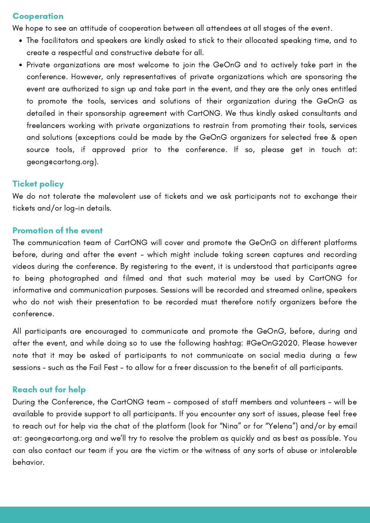### **Cooperation**

We hope to see an attitude of cooperation between all attendees at all stages of the event.

- The facilitators and speakers are kindly asked to stick to their allocated speaking time, and to create a respectful and constructive debate for all.
- Private organizations are most welcome to join the GeOnG and to actively take part in the conference. However, only representatives of private organizations which are sponsoring the event are authorized to sign up and take part in the event, and they are the only ones entitled to promote the tools, services and solutions of their organization during the GeOnG as detailed in their sponsorship agreement with CartONG. We thus kindly asked consultants and freelancers working with private organizations to restrain from promoting their tools, services and solutions (exceptions could be made by the GeOnG organizers for selected free & open source tools, if approved prior to the conference. If so, please get in touch at: geong@cartong.org).

### **Ticket policy**

We do not tolerate the malevolent use of tickets and we ask participants not to exchange their tickets and/or log-in details.

### Promotion of the event

The communication team of CartONG will cover and promote the GeOnG on different platforms before, during and after the event - which might include taking screen captures and recording videos during the conference. By registering to the event, it is understood that participants agree to being photographed and filmed and that such material may be used by CartONG for informative and communication purposes. Sessions will be recorded and streamed online, speakers who do not wish their presentation to be recorded must therefore notify organizers before the conference.

All participants are encouraged to communicate and promote the GeOnG, before, during and after the event, and while doing so to use the following hashtag: #GeOnG2020. Please however note that it may be asked of participants to not communicate on social media during a few sessions - such as the Fail Fest - to allow for a freer discussion to the benefit of all participants.

### Reach out for help

During the Conference, the CartONG team - composed of staff members and volunteers - will be available to provide support to all participants. If you encounter any sort of issues, please feel free to reach out for help via the chat of the platform (look for "Nina" or for "Yelena") and/or by email at: geong@cartong.org and we'll try to resolve the problem as quickly and as best as possible. You can also contact our team if you are the victim or the witness of any sorts of abuse or intolerable behavior.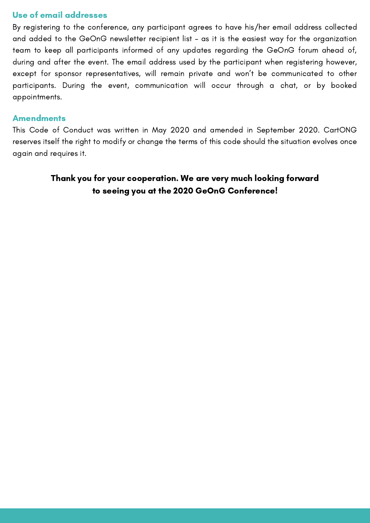### Use of email addresses

By registering to the conference, any participant agrees to have his/her email address collected and added to the GeOnG newsletter recipient list – as it is the easiest way for the organization team to keep all participants informed of any updates regarding the GeOnG forum ahead of, during and after the event. The email address used by the participant when registering however, except for sponsor representatives, will remain private and won't be communicated to other participants. During the event, communication will occur through a chat, or by booked appointments.

### **Amendments**

This Code of Conduct was written in May 2020 and amended in September 2020. CartONG reserves itself the right to modify or change the terms of this code should the situation evolves once again and requires it.

## Thank you for your cooperation. We are very much looking forward to seeing you at the 2020 GeOnG Conference!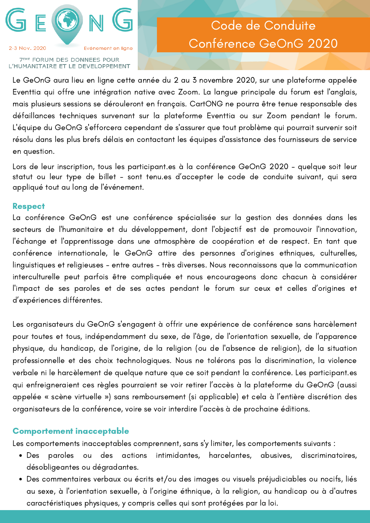

#### **7EME FORUM DES DONNEES POUR** L'HUMANITAIRE ET LE DEVELOPPEMENT

# Code de Conduite Conférence GeOnG 2020

Le GeOnG aura lieu en ligne cette année du 2 au 3 novembre 2020, sur une plateforme appelée Eventtia qui offre une intégration native avec Zoom. La langue principale du forum est l'anglais, mais plusieurs sessions se dérouleront en français. CartONG ne pourra être tenue responsable des défaillances techniques survenant sur la plateforme Eventtia ou sur Zoom pendant le forum. L'équipe du GeOnG s'efforcera cependant de s'assurer que tout problème qui pourrait survenir soit résolu dans les plus brefs délais en contactant les équipes d'assistance des fournisseurs de service en question.

Lors de leur inscription, tous les participant.es à la conférence GeOnG 2020 - quelque soit leur statut ou leur type de billet - sont tenu.es d'accepter le code de conduite suivant, qui sera appliqué tout au long de l'événement.

### **Respect**

La conférence GeOnG est une conférence spécialisée sur la gestion des données dans les secteurs de l'humanitaire et du développement, dont l'objectif est de promouvoir l'innovation, l'échange et l'apprentissage dans une atmosphère de coopération et de respect. En tant que conférence internationale, le GeOnG attire des personnes d'origines ethniques, culturelles, linguistiques et religieuses - entre autres - très diverses. Nous reconnaissons que la communication interculturelle peut parfois être compliquée et nous encourageons donc chacun à considérer l'impact de ses paroles et de ses actes pendant le forum sur ceux et celles d'origines et d'expériences différentes.

Les organisateurs du GeOnG s'engagent à offrir une expérience de conférence sans harcèlement pour toutes et tous, indépendamment du sexe, de l'âge, de l'orientation sexuelle, de l'apparence physique, du handicap, de l'origine, de la religion (ou de l'absence de religion), de la situation professionnelle et des choix technologiques. Nous ne tolérons pas la discrimination, la violence verbale ni le harcèlement de quelque nature que ce soit pendant la conférence. Les participant.es qui enfreigneraient ces règles pourraient se voir retirer l'accès à la plateforme du GeOnG (aussi appelée « scène virtuelle ») sans remboursement (si applicable) et cela à l'entière discrétion des organisateurs de la conférence, voire se voir interdire l'accès à de prochaine éditions.

### Comportement inacceptable

Les comportements inacceptables comprennent, sans s'y limiter, les comportements suivants :

- Des paroles ou des actions intimidantes, harcelantes, abusives, discriminatoires, désobligeantes ou dégradantes.
- Des commentaires verbaux ou écrits et/ou des images ou visuels préjudiciables ou nocifs, liés au sexe, à l'orientation sexuelle, à l'origine éthnique, à la religion, au handicap ou à d'autres caractéristiques physiques, y compris celles qui sont protégées par la loi.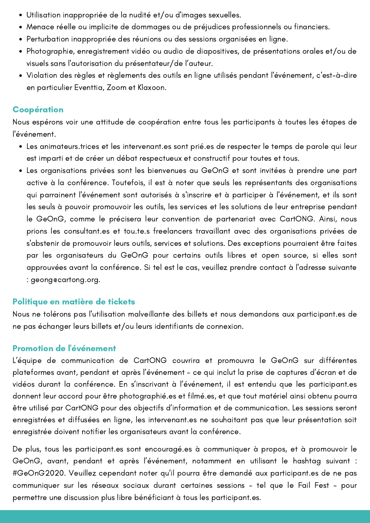- Utilisation inappropriée de la nudité et/ou d'images sexuelles.
- Menace réelle ou implicite de dommages ou de préjudices professionnels ou financiers.
- Perturbation inappropriée des réunions ou des sessions organisées en ligne.
- Photographie, enregistrement vidéo ou audio de diapositives, de présentations orales et/ou de visuels sans l'autorisation du présentateur/de l'auteur.
- Violation des règles et règlements des outils en ligne utilisés pendant l'événement, c'est-à-dire en particulier Eventtia, Zoom et Klaxoon.

## Coopération

Nous espérons voir une attitude de coopération entre tous les participants à toutes les étapes de l'événement.

- Les animateurs.trices et les intervenant.es sont prié.es de respecter le temps de parole qui leur est imparti et de créer un débat respectueux et constructif pour toutes et tous.
- Les organisations privées sont les bienvenues au GeOnG et sont invitées à prendre une part active à la conférence. Toutefois, il est à noter que seuls les représentants des organisations qui parrainent l'événement sont autorisés à s'inscrire et à participer à l'événement, et ils sont les seuls à pouvoir promouvoir les outils, les services et les solutions de leur entreprise pendant le GeOnG, comme le précisera leur convention de partenariat avec CartONG. Ainsi, nous prions les consultant.es et tou.te.s freelancers travaillant avec des organisations privées de s'abstenir de promouvoir leurs outils, services et solutions. Des exceptions pourraient être faites par les organisateurs du GeOnG pour certains outils libres et open source, si elles sont approuvées avant la conférence. Si tel est le cas, veuillez prendre contact à l'adresse suivante : geong@cartong.org.

## Politique en matière de tickets

Nous ne tolérons pas l'utilisation malveillante des billets et nous demandons aux participant.es de ne pas échanger leurs billets et/ou leurs identifiants de connexion.

## Promotion de l'événement

L'équipe de communication de CartONG couvrira et promouvra le GeOnG sur différentes plateformes avant, pendant et après l'événement - ce qui inclut la prise de captures d'écran et de vidéos durant la conférence. En s'inscrivant à l'événement, il est entendu que les participant.es donnent leur accord pour être photographié.es et filmé.es, et que tout matériel ainsi obtenu pourra être utilisé par CartONG pour des objectifs d'information et de communication. Les sessions seront enregistrées et diffusées en ligne, les intervenant.es ne souhaitant pas que leur présentation soit enregistrée doivent notifier les organisateurs avant la conférence.

De plus, tous les participant.es sont encouragé.es à communiquer à propos, et à promouvoir le GeOnG, avant, pendant et après l'événement, notamment en utilisant le hashtag suivant : #GeOnG2020. Veuillez cependant noter qu'il pourra être demandé aux participant.es de ne pas communiquer sur les réseaux sociaux durant certaines sessions - tel que le Fail Fest - pour permettre une discussion plus libre bénéficiant à tous les participant.es.